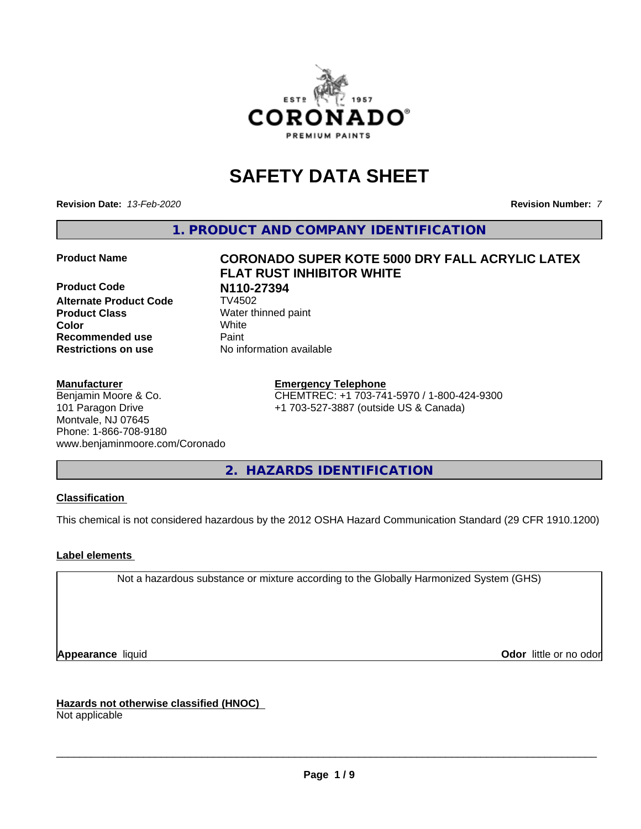

# **SAFETY DATA SHEET**

**Revision Date:** *13-Feb-2020* **Revision Number:** *7*

**1. PRODUCT AND COMPANY IDENTIFICATION**

**Product Code N110-27394 Alternate Product Code Product Class** Water thinned paint<br> **Color** White **Color** White **Recommended use Caint Restrictions on use** No information available

#### **Manufacturer**

Benjamin Moore & Co. 101 Paragon Drive Montvale, NJ 07645 Phone: 1-866-708-9180 www.benjaminmoore.com/Coronado

# **Product Name CORONADO SUPER KOTE 5000 DRY FALL ACRYLIC LATEX FLAT RUST INHIBITOR WHITE**

### **Emergency Telephone**

CHEMTREC: +1 703-741-5970 / 1-800-424-9300 +1 703-527-3887 (outside US & Canada)

**2. HAZARDS IDENTIFICATION**

#### **Classification**

This chemical is not considered hazardous by the 2012 OSHA Hazard Communication Standard (29 CFR 1910.1200)

#### **Label elements**

Not a hazardous substance or mixture according to the Globally Harmonized System (GHS)

**Appearance** liquid **Contract Contract Contract Contract Contract Contract Contract Contract Contract Contract Contract Contract Contract Contract Contract Contract Contract Contract Contract Contract Contract Contract Con** 

**Hazards not otherwise classified (HNOC)**

Not applicable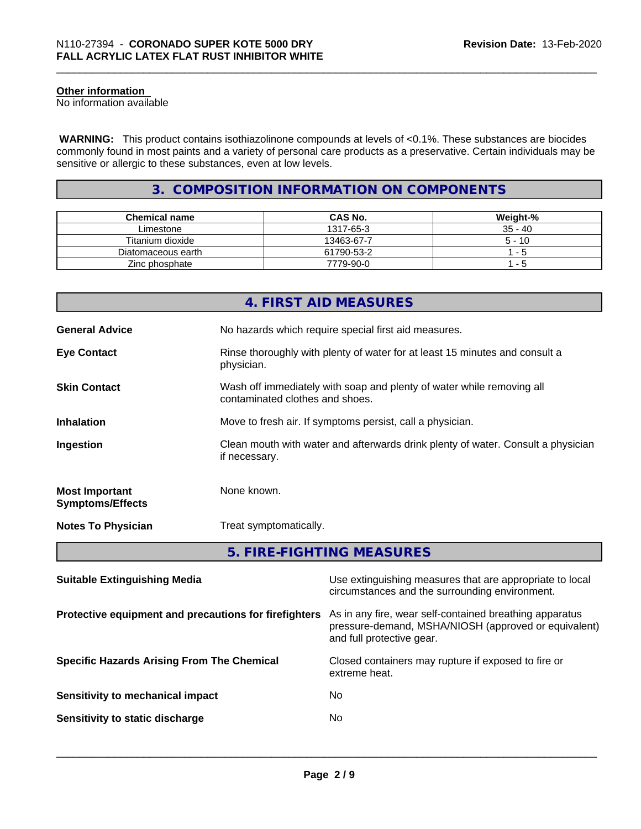#### **Other information**

No information available

 **WARNING:** This product contains isothiazolinone compounds at levels of <0.1%. These substances are biocides commonly found in most paints and a variety of personal care products as a preservative. Certain individuals may be sensitive or allergic to these substances, even at low levels.

#### **3. COMPOSITION INFORMATION ON COMPONENTS**

| <b>Chemical name</b> | <b>CAS No.</b> | Weight-%  |
|----------------------|----------------|-----------|
| Limestone            | 1317-65-3      | $35 - 40$ |
| Titanium dioxide     | 13463-67-7     | $5 - 10$  |
| Diatomaceous earth   | 61790-53-2     | - 5       |
| Zinc phosphate       | 7779-90-0      | - 5       |

|                                                       |                                 | 4. FIRST AID MEASURES                                                                                           |
|-------------------------------------------------------|---------------------------------|-----------------------------------------------------------------------------------------------------------------|
| <b>General Advice</b>                                 |                                 | No hazards which require special first aid measures.                                                            |
| <b>Eye Contact</b>                                    | physician.                      | Rinse thoroughly with plenty of water for at least 15 minutes and consult a                                     |
| <b>Skin Contact</b>                                   | contaminated clothes and shoes. | Wash off immediately with soap and plenty of water while removing all                                           |
| <b>Inhalation</b>                                     |                                 | Move to fresh air. If symptoms persist, call a physician.                                                       |
| Ingestion                                             | if necessary.                   | Clean mouth with water and afterwards drink plenty of water. Consult a physician                                |
| <b>Most Important</b><br><b>Symptoms/Effects</b>      | None known.                     |                                                                                                                 |
| <b>Notes To Physician</b>                             | Treat symptomatically.          |                                                                                                                 |
|                                                       |                                 | 5. FIRE-FIGHTING MEASURES                                                                                       |
| <b>Suitable Extinguishing Media</b>                   |                                 | Use extinguishing measures that are appropriate to local<br>circumstances and the surrounding environment.      |
| Protective equipment and precautions for firefighters |                                 | As in any fire, wear self-contained breathing apparatus<br>pressure-demand, MSHA/NIOSH (approved or equivalent) |

**Specific Hazards Arising From The Chemical Closed containers may rupture if exposed to fire or** 

| Sensitivity to mechanical impact | No  |
|----------------------------------|-----|
| Sensitivity to static discharge  | No. |

and full protective gear.

 $\overline{\phantom{a}}$  ,  $\overline{\phantom{a}}$  ,  $\overline{\phantom{a}}$  ,  $\overline{\phantom{a}}$  ,  $\overline{\phantom{a}}$  ,  $\overline{\phantom{a}}$  ,  $\overline{\phantom{a}}$  ,  $\overline{\phantom{a}}$  ,  $\overline{\phantom{a}}$  ,  $\overline{\phantom{a}}$  ,  $\overline{\phantom{a}}$  ,  $\overline{\phantom{a}}$  ,  $\overline{\phantom{a}}$  ,  $\overline{\phantom{a}}$  ,  $\overline{\phantom{a}}$  ,  $\overline{\phantom{a}}$ 

extreme heat.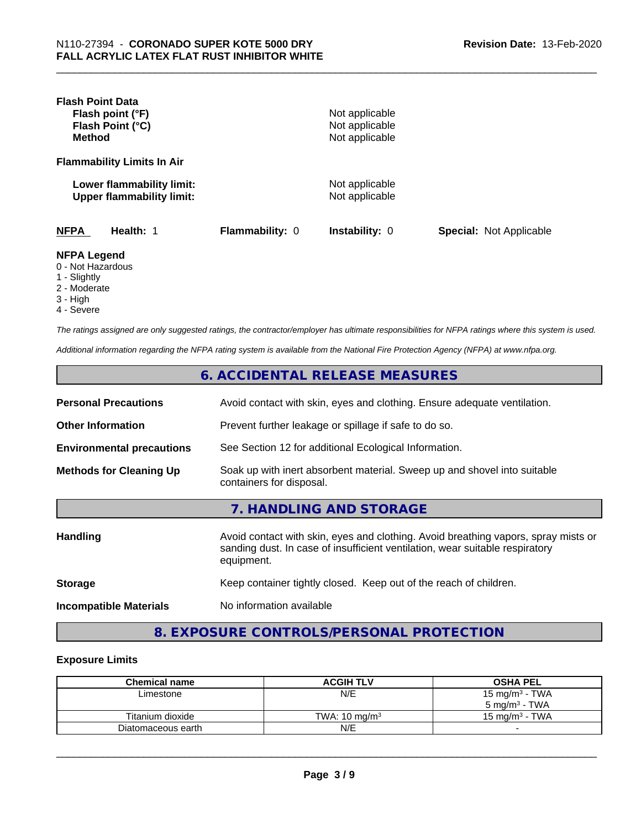| <b>Flash Point Data</b><br>Flash point (°F)<br>Flash Point (°C)<br><b>Method</b> |                 | Not applicable<br>Not applicable<br>Not applicable |                                |
|----------------------------------------------------------------------------------|-----------------|----------------------------------------------------|--------------------------------|
| <b>Flammability Limits In Air</b>                                                |                 |                                                    |                                |
| Lower flammability limit:<br><b>Upper flammability limit:</b>                    |                 | Not applicable<br>Not applicable                   |                                |
| <b>NFPA</b><br>Health: 1                                                         | Flammability: 0 | <b>Instability: 0</b>                              | <b>Special: Not Applicable</b> |
| <b>NFPA Legend</b><br>0 - Not Hazardous<br>1 - Slightly<br>2 - Moderate          |                 |                                                    |                                |

- 
- 3 High
- 4 Severe

*The ratings assigned are only suggested ratings, the contractor/employer has ultimate responsibilities for NFPA ratings where this system is used.*

*Additional information regarding the NFPA rating system is available from the National Fire Protection Agency (NFPA) at www.nfpa.org.*

|                                  | 6. ACCIDENTAL RELEASE MEASURES                                                                                                                                                   |
|----------------------------------|----------------------------------------------------------------------------------------------------------------------------------------------------------------------------------|
| <b>Personal Precautions</b>      | Avoid contact with skin, eyes and clothing. Ensure adequate ventilation.                                                                                                         |
| <b>Other Information</b>         | Prevent further leakage or spillage if safe to do so.                                                                                                                            |
| <b>Environmental precautions</b> | See Section 12 for additional Ecological Information.                                                                                                                            |
| <b>Methods for Cleaning Up</b>   | Soak up with inert absorbent material. Sweep up and shovel into suitable<br>containers for disposal.                                                                             |
|                                  | 7. HANDLING AND STORAGE                                                                                                                                                          |
| <b>Handling</b>                  | Avoid contact with skin, eyes and clothing. Avoid breathing vapors, spray mists or<br>sanding dust. In case of insufficient ventilation, wear suitable respiratory<br>equipment. |
| <b>Storage</b>                   | Keep container tightly closed. Keep out of the reach of children.                                                                                                                |
| <b>Incompatible Materials</b>    | No information available                                                                                                                                                         |

### **8. EXPOSURE CONTROLS/PERSONAL PROTECTION**

#### **Exposure Limits**

| <b>Chemical name</b> | <b>ACGIH TLV</b>         | <b>OSHA PEL</b>           |
|----------------------|--------------------------|---------------------------|
| Limestone            | N/E                      | 15 mg/m $3$ - TWA         |
|                      |                          | 5 mg/m $3$ - TWA          |
| Titanium dioxide     | TWA: $10 \text{ ma/m}^3$ | $15 \text{ ma/m}^3$ - TWA |
| Diatomaceous earth   | N/E                      |                           |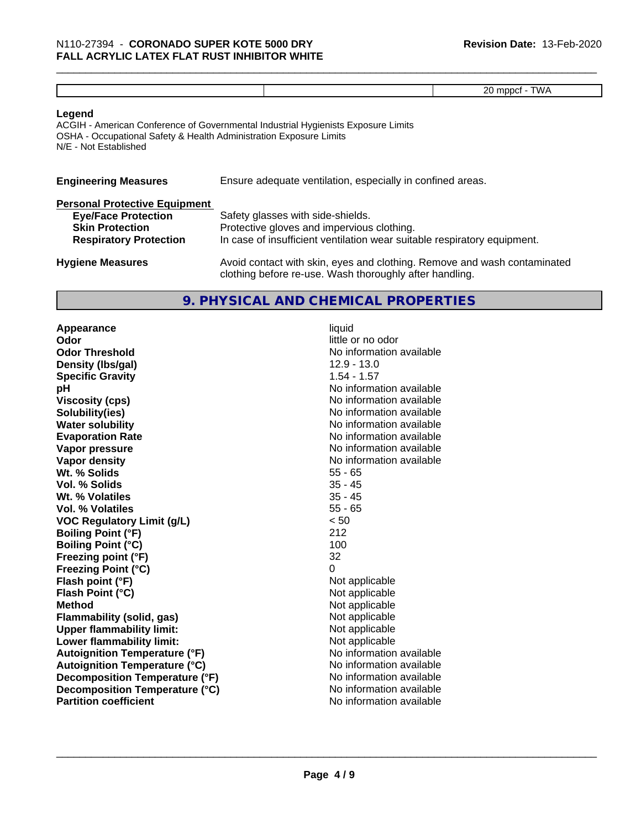| ₹. |  |  |
|----|--|--|
|    |  |  |

#### **Legend**

ACGIH - American Conference of Governmental Industrial Hygienists Exposure Limits OSHA - Occupational Safety & Health Administration Exposure Limits N/E - Not Established

| <b>Engineering Measures</b>          | Ensure adequate ventilation, especially in confined areas. |
|--------------------------------------|------------------------------------------------------------|
| <b>Personal Protective Equipment</b> |                                                            |
| <b>Eye/Face Protection</b>           | Safety glasses with side-shields.                          |

| <b>Skin Protection</b>        | Protective gloves and impervious clothing.                               |
|-------------------------------|--------------------------------------------------------------------------|
| <b>Respiratory Protection</b> | In case of insufficient ventilation wear suitable respiratory equipment. |
| <b>Hygiene Measures</b>       | Avoid contact with skin, eyes and clothing. Remove and wash contaminated |

## clothing before re-use. Wash thoroughly after handling. **9. PHYSICAL AND CHEMICAL PROPERTIES**

**Appearance** liquid **Odor** little or no odor **Odor Threshold No information available No information available Density (Ibs/gal)** 2.9 - 13.0 **Specific Gravity** 1.54 - 1.57 **pH pH**  $\blacksquare$ **Viscosity (cps)** No information available **Solubility(ies)** No information available **Water solubility Water solubility Water solubility Water solubility Water solubility Water solution Evaporation Rate No information available No information available Vapor pressure** No information available **Vapor density Vapor** density **Wt. % Solids** 55 - 65 **Vol. % Solids** 35 - 45 **Wt. % Volatiles Vol. % Volatiles** 55 - 65 **VOC Regulatory Limit (g/L)** < 50 **Boiling Point (°F)** 212 **Boiling Point (°C)** 100 **Freezing point (°F)** 32 **Freezing Point (°C)**<br> **Flash point (°F)**<br> **Flash point (°F)**<br> **Point (°F)**<br> **Point (°F)**<br> **Point District (°F)**<br> **Point District (°F) Flash point (°F)**<br> **Flash Point (°C)**<br> **Flash Point (°C)**<br> **C Flash Point (°C) Method**<br> **Flammability (solid, gas)**<br> **Commability (solid, gas)**<br> **Not** applicable **Flammability (solid, gas)**<br> **Upper flammability limit:**<br>
Upper flammability limit: **Upper flammability limit: Lower flammability limit:** Not applicable **Autoignition Temperature (°F)** No information available **Autoignition Temperature (°C)** No information available **Decomposition Temperature (°F)** No information available **Decomposition Temperature (°C)** No information available **Partition coefficient** No information available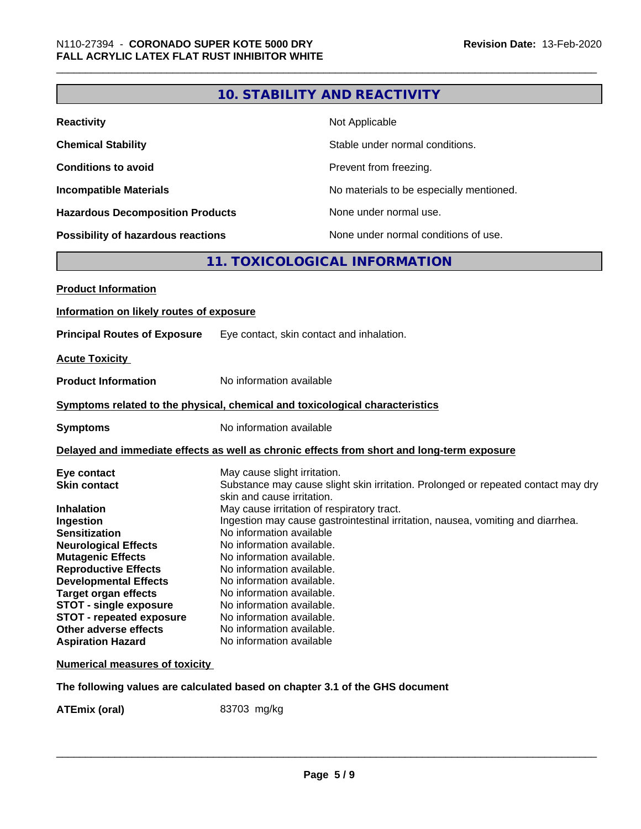### **10. STABILITY AND REACTIVITY**

| <b>Reactivity</b>                       | Not Applicable                           |
|-----------------------------------------|------------------------------------------|
| <b>Chemical Stability</b>               | Stable under normal conditions.          |
| <b>Conditions to avoid</b>              | Prevent from freezing.                   |
| <b>Incompatible Materials</b>           | No materials to be especially mentioned. |
| <b>Hazardous Decomposition Products</b> | None under normal use.                   |
| Possibility of hazardous reactions      | None under normal conditions of use.     |

### **11. TOXICOLOGICAL INFORMATION**

| Information on likely routes of exposure<br><b>Principal Routes of Exposure</b><br>Eye contact, skin contact and inhalation.<br><b>Acute Toxicity</b><br>No information available<br><b>Product Information</b><br>Symptoms related to the physical, chemical and toxicological characteristics<br>No information available<br><b>Symptoms</b><br>Delayed and immediate effects as well as chronic effects from short and long-term exposure<br>May cause slight irritation.<br>Eye contact<br><b>Skin contact</b><br>Substance may cause slight skin irritation. Prolonged or repeated contact may dry<br>skin and cause irritation.<br>May cause irritation of respiratory tract.<br><b>Inhalation</b><br>Ingestion may cause gastrointestinal irritation, nausea, vomiting and diarrhea.<br>Ingestion<br>No information available<br><b>Sensitization</b><br>No information available.<br><b>Neurological Effects</b><br><b>Mutagenic Effects</b><br>No information available. |
|-----------------------------------------------------------------------------------------------------------------------------------------------------------------------------------------------------------------------------------------------------------------------------------------------------------------------------------------------------------------------------------------------------------------------------------------------------------------------------------------------------------------------------------------------------------------------------------------------------------------------------------------------------------------------------------------------------------------------------------------------------------------------------------------------------------------------------------------------------------------------------------------------------------------------------------------------------------------------------------|
|                                                                                                                                                                                                                                                                                                                                                                                                                                                                                                                                                                                                                                                                                                                                                                                                                                                                                                                                                                                   |
|                                                                                                                                                                                                                                                                                                                                                                                                                                                                                                                                                                                                                                                                                                                                                                                                                                                                                                                                                                                   |
|                                                                                                                                                                                                                                                                                                                                                                                                                                                                                                                                                                                                                                                                                                                                                                                                                                                                                                                                                                                   |
|                                                                                                                                                                                                                                                                                                                                                                                                                                                                                                                                                                                                                                                                                                                                                                                                                                                                                                                                                                                   |
|                                                                                                                                                                                                                                                                                                                                                                                                                                                                                                                                                                                                                                                                                                                                                                                                                                                                                                                                                                                   |
|                                                                                                                                                                                                                                                                                                                                                                                                                                                                                                                                                                                                                                                                                                                                                                                                                                                                                                                                                                                   |
|                                                                                                                                                                                                                                                                                                                                                                                                                                                                                                                                                                                                                                                                                                                                                                                                                                                                                                                                                                                   |
|                                                                                                                                                                                                                                                                                                                                                                                                                                                                                                                                                                                                                                                                                                                                                                                                                                                                                                                                                                                   |
| <b>Reproductive Effects</b><br>No information available.<br><b>Developmental Effects</b><br>No information available.<br><b>Target organ effects</b><br>No information available.<br><b>STOT - single exposure</b><br>No information available.<br><b>STOT - repeated exposure</b><br>No information available.<br>Other adverse effects<br>No information available.<br>No information available<br><b>Aspiration Hazard</b>                                                                                                                                                                                                                                                                                                                                                                                                                                                                                                                                                     |
| <b>Numerical measures of toxicity</b>                                                                                                                                                                                                                                                                                                                                                                                                                                                                                                                                                                                                                                                                                                                                                                                                                                                                                                                                             |

**The following values are calculated based on chapter 3.1 of the GHS document**

**ATEmix (oral)** 83703 mg/kg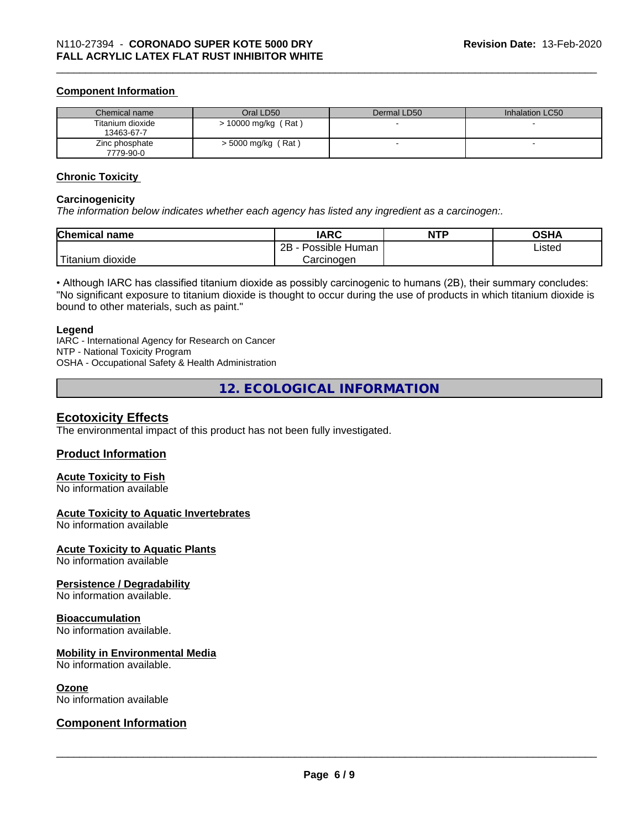#### **Component Information**

| Chemical name                  | Oral LD50            | Dermal LD50 | Inhalation LC50 |
|--------------------------------|----------------------|-------------|-----------------|
| Titanium dioxide<br>13463-67-7 | > 10000 mg/kg (Rat)  |             |                 |
| Zinc phosphate<br>7779-90-0    | $>$ 5000 mg/kg (Rat) |             |                 |

#### **Chronic Toxicity**

#### **Carcinogenicity**

*The information below indicateswhether each agency has listed any ingredient as a carcinogen:.*

| <b>Chemical name</b>             | <b>IARC</b>               | <b>NTP</b> | <b>OSHA</b> |
|----------------------------------|---------------------------|------------|-------------|
|                                  | Possible<br>2B<br>· Human |            | Listed      |
| .<br>. dioxide<br><b>itanium</b> | Carcinoɑen                |            |             |

• Although IARC has classified titanium dioxide as possibly carcinogenic to humans (2B), their summary concludes: "No significant exposure to titanium dioxide is thought to occur during the use of products in which titanium dioxide is bound to other materials, such as paint."

#### **Legend**

IARC - International Agency for Research on Cancer NTP - National Toxicity Program OSHA - Occupational Safety & Health Administration

**12. ECOLOGICAL INFORMATION**

#### **Ecotoxicity Effects**

The environmental impact of this product has not been fully investigated.

#### **Product Information**

#### **Acute Toxicity to Fish**

No information available

#### **Acute Toxicity to Aquatic Invertebrates**

No information available

#### **Acute Toxicity to Aquatic Plants**

No information available

#### **Persistence / Degradability**

No information available.

#### **Bioaccumulation**

No information available.

#### **Mobility in Environmental Media**

No information available.

#### **Ozone**

No information available

#### **Component Information**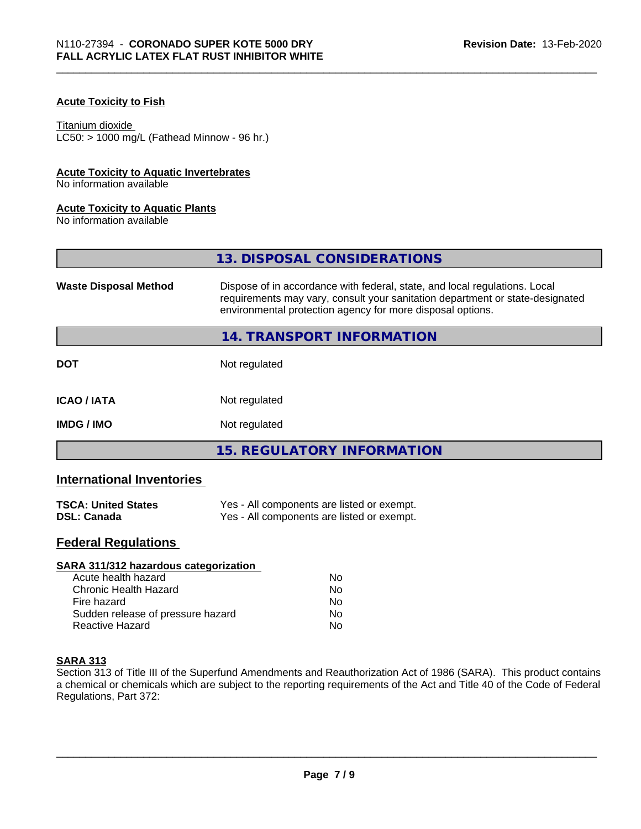#### **Acute Toxicity to Fish**

#### Titanium dioxide

 $LC50:$  > 1000 mg/L (Fathead Minnow - 96 hr.)

#### **Acute Toxicity to Aquatic Invertebrates**

No information available

#### **Acute Toxicity to Aquatic Plants**

No information available

|                              | 13. DISPOSAL CONSIDERATIONS                                                                                                                                                                                               |
|------------------------------|---------------------------------------------------------------------------------------------------------------------------------------------------------------------------------------------------------------------------|
| <b>Waste Disposal Method</b> | Dispose of in accordance with federal, state, and local regulations. Local<br>requirements may vary, consult your sanitation department or state-designated<br>environmental protection agency for more disposal options. |
|                              | 14. TRANSPORT INFORMATION                                                                                                                                                                                                 |
| <b>DOT</b>                   | Not regulated                                                                                                                                                                                                             |
| <b>ICAO/IATA</b>             | Not regulated                                                                                                                                                                                                             |
| <b>IMDG / IMO</b>            | Not regulated                                                                                                                                                                                                             |
|                              | <b>15. REGULATORY INFORMATION</b>                                                                                                                                                                                         |

#### **International Inventories**

| <b>TSCA: United States</b> | Yes - All components are listed or exempt. |
|----------------------------|--------------------------------------------|
| <b>DSL: Canada</b>         | Yes - All components are listed or exempt. |

#### **Federal Regulations**

| SARA 311/312 hazardous categorization |    |  |
|---------------------------------------|----|--|
| Acute health hazard                   | Nο |  |
| Chronic Health Hazard                 | No |  |
| Fire hazard                           | Nο |  |
| Sudden release of pressure hazard     | No |  |
| Reactive Hazard                       | No |  |

#### **SARA 313**

Section 313 of Title III of the Superfund Amendments and Reauthorization Act of 1986 (SARA). This product contains a chemical or chemicals which are subject to the reporting requirements of the Act and Title 40 of the Code of Federal Regulations, Part 372: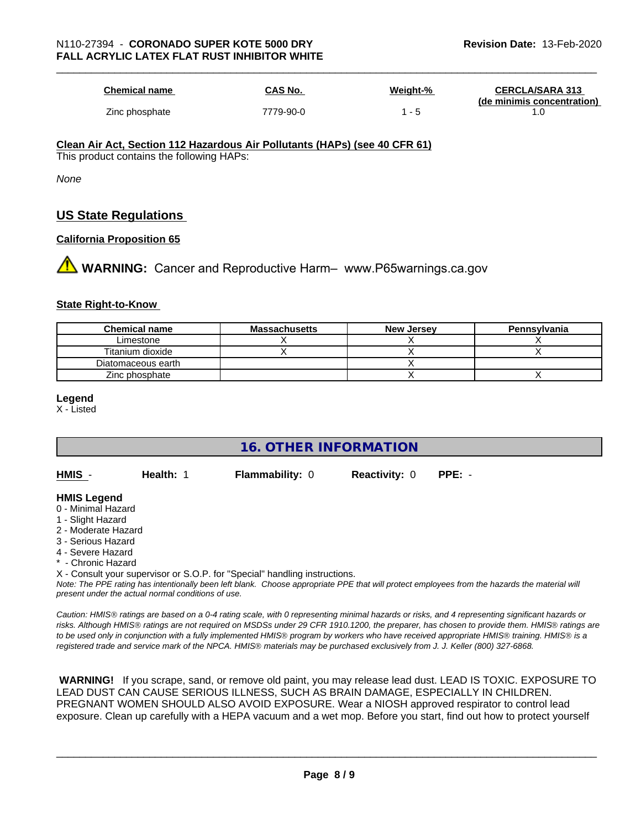| <b>Chemical name</b> | CAS No.   | Weight-% | <b>CERCLA/SARA 313</b><br>(de minimis concentration) |
|----------------------|-----------|----------|------------------------------------------------------|
| Zinc phosphate       | 7779-90-0 | $-5$     |                                                      |

#### **Clean Air Act,Section 112 Hazardous Air Pollutants (HAPs) (see 40 CFR 61)**

This product contains the following HAPs:

*None*

### **US State Regulations**

#### **California Proposition 65**

**1** WARNING: Cancer and Reproductive Harm– www.P65warnings.ca.gov

#### **State Right-to-Know**

| <b>Chemical name</b> | <b>Massachusetts</b> | <b>New Jersey</b> | Pennsylvania |
|----------------------|----------------------|-------------------|--------------|
| Limestone            |                      |                   |              |
| Titanium dioxide     |                      |                   |              |
| Diatomaceous earth   |                      |                   |              |
| Zinc phosphate       |                      |                   |              |

**Legend**

X - Listed

**16. OTHER INFORMATION**

| HMIS - | Health: 1 | <b>Flammability: 0</b> | <b>Reactivity: 0 PPE: -</b> |  |
|--------|-----------|------------------------|-----------------------------|--|
|        |           |                        |                             |  |

#### **HMIS Legend**

- 0 Minimal Hazard
- 1 Slight Hazard
- 2 Moderate Hazard
- 3 Serious Hazard
- 4 Severe Hazard
- Chronic Hazard

X - Consult your supervisor or S.O.P. for "Special" handling instructions.

*Note: The PPE rating has intentionally been left blank. Choose appropriate PPE that will protect employees from the hazards the material will present under the actual normal conditions of use.*

*Caution: HMISÒ ratings are based on a 0-4 rating scale, with 0 representing minimal hazards or risks, and 4 representing significant hazards or risks. Although HMISÒ ratings are not required on MSDSs under 29 CFR 1910.1200, the preparer, has chosen to provide them. HMISÒ ratings are to be used only in conjunction with a fully implemented HMISÒ program by workers who have received appropriate HMISÒ training. HMISÒ is a registered trade and service mark of the NPCA. HMISÒ materials may be purchased exclusively from J. J. Keller (800) 327-6868.*

 **WARNING!** If you scrape, sand, or remove old paint, you may release lead dust. LEAD IS TOXIC. EXPOSURE TO LEAD DUST CAN CAUSE SERIOUS ILLNESS, SUCH AS BRAIN DAMAGE, ESPECIALLY IN CHILDREN. PREGNANT WOMEN SHOULD ALSO AVOID EXPOSURE.Wear a NIOSH approved respirator to control lead exposure. Clean up carefully with a HEPA vacuum and a wet mop. Before you start, find out how to protect yourself